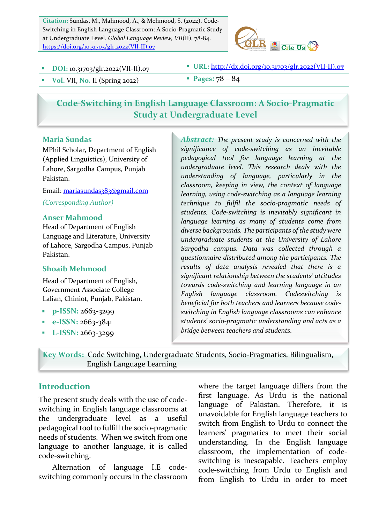Citation: Sundas, M., Mahmood, A., & Mehmood, S. (2022). Code-Switching in English Language Classroom: A Socio-Pragmatic Study at Undergraduate Level. *Global Language Review, VII*(II), 78-84. https://doi.org/10.31703/glr.2022(VII-II).07



- 
- § **DOI:** 10.31703/glr.2022(VII-II).07 § **URL:** http://dx.doi.org/10.31703/glr.2022(VII-II).0**7**
- $\bullet$  Vol. VII, No. II (Spring 2022) **•** Pages:  $78 84$

# **Code-Switching in English Language Classroom: A Socio-Pragmatic Study at Undergraduate Level**

#### **Maria Sundas**

MPhil Scholar, Department of English (Applied Linguistics), University of Lahore, Sargodha Campus, Punjab Pakistan.

Email: mariasundas383@gmail.com *(Corresponding Author)*

#### **Anser Mahmood**

Head of Department of English Language and Literature, University of Lahore, Sargodha Campus, Punjab Pakistan.

#### **Shoaib Mehmood**

Head of Department of English, Government Associate College Lalian, Chiniot, Punjab, Pakistan.

- § **p-ISSN:** 2663-3299
- § **e-ISSN:** 2663-3841
- **•** L-ISSN: 2663-3299

Abstract: The present study is concerned with the *significance of code-switching as an inevitable pedagogical tool for language learning at the undergraduate level. This research deals with the understanding of language, particularly in the classroom, keeping in view, the context of language*  learning, using code-switching as a language learning *technique to fulfil the socio-pragmatic needs of*  students. Code-switching is inevitably significant in language learning as many of students come from diverse backgrounds. The participants of the study were *undergraduate students at the University of Lahore Sargodha campus. Data was collected through a questionnaire distributed among the participants. The*  results of data analysis revealed that there is a significant relationship between the students' attitudes *towards code-switching and learning language in an English language classroom. Codeswitching is*  beneficial for both *teachers* and *learners* because codeswitching in English language classrooms can enhance *students' socio-pragmatic understanding and acts as a bridge between teachers and students.*

**Key Words:**Code Switching, Undergraduate Students, Socio-Pragmatics, Bilingualism, English Language Learning

#### **Introduction**

The present study deals with the use of codeswitching in English language classrooms at the undergraduate level as a useful pedagogical tool to fulfill the socio-pragmatic needs of students. When we switch from one language to another language, it is called code-switching.

Alternation of language I.E codeswitching commonly occurs in the classroom where the target language differs from the first language. As Urdu is the national language of Pakistan. Therefore, it is unavoidable for English language teachers to switch from English to Urdu to connect the learners' pragmatics to meet their social understanding. In the English language classroom, the implementation of codeswitching is inescapable. Teachers employ code-switching from Urdu to English and from English to Urdu in order to meet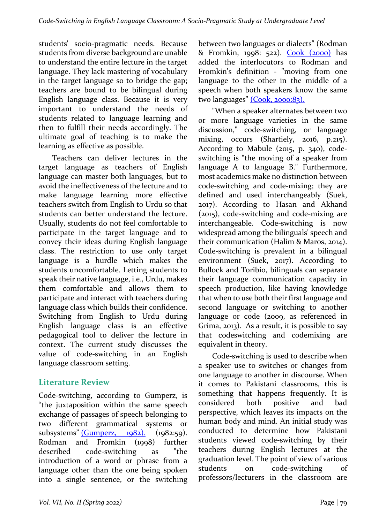students' socio-pragmatic needs. Because students from diverse background are unable to understand the entire lecture in the target language. They lack mastering of vocabulary in the target language so to bridge the gap; teachers are bound to be bilingual during English language class. Because it is very important to understand the needs of students related to language learning and then to fulfill their needs accordingly. The ultimate goal of teaching is to make the learning as effective as possible.

Teachers can deliver lectures in the target language as teachers of English language can master both languages, but to avoid the ineffectiveness of the lecture and to make language learning more effective teachers switch from English to Urdu so that students can better understand the lecture. Usually, students do not feel comfortable to participate in the target language and to convey their ideas during English language class. The restriction to use only target language is a hurdle which makes the students uncomfortable. Letting students to speak their native language, i.e., Urdu, makes them comfortable and allows them to participate and interact with teachers during language class which builds their confidence. Switching from English to Urdu during English language class is an effective pedagogical tool to deliver the lecture in context. The current study discusses the value of code-switching in an English language classroom setting.

# **Literature Review**

Code-switching, according to Gumperz, is "the juxtaposition within the same speech exchange of passages of speech belonging to two different grammatical systems or subsystems"  $(Gumperz, 1982)$ . (1982:59). Rodman and Fromkin (1998) further described code-switching as "the introduction of a word or phrase from a language other than the one being spoken into a single sentence, or the switching between two languages or dialects" (Rodman & Fromkin, 1998: 522). Cook (2000) has added the interlocutors to Rodman and Fromkin's definition - "moving from one language to the other in the middle of a speech when both speakers know the same two languages" (Cook, 2000:83).

"When a speaker alternates between two or more language varieties in the same discussion," code-switching, or language mixing, occurs (Shartiely, 2016, p.215). According to Mabule  $(2015, p. 340)$ , codeswitching is "the moving of a speaker from language A to language B." Furthermore, most academics make no distinction between code-switching and code-mixing; they are defined and used interchangeably (Suek, 2017). According to Hasan and Akhand  $(2015)$ , code-switching and code-mixing are interchangeable. Code-switching is now widespread among the bilinguals' speech and their communication (Halim & Maros, 2014). Code-switching is prevalent in a bilingual environment (Suek, 2017). According to Bullock and Toribio, bilinguals can separate their language communication capacity in speech production, like having knowledge that when to use both their first language and second language or switching to another language or code (2009, as referenced in Grima,  $2013$ ). As a result, it is possible to say that codeswitching and codemixing are equivalent in theory.

Code-switching is used to describe when a speaker use to switches or changes from one language to another in discourse. When it comes to Pakistani classrooms, this is something that happens frequently. It is considered both positive and bad perspective, which leaves its impacts on the human body and mind. An initial study was conducted to determine how Pakistani students viewed code-switching by their teachers during English lectures at the graduation level. The point of view of various students on code-switching of professors/lecturers in the classroom are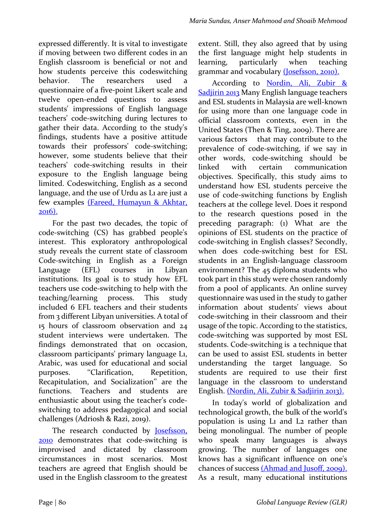expressed differently. It is vital to investigate if moving between two different codes in an English classroom is beneficial or not and how students perceive this codeswitching behavior. The researchers used a questionnaire of a five-point Likert scale and twelve open-ended questions to assess students' impressions of English language teachers' code-switching during lectures to gather their data. According to the study's findings, students have a positive attitude towards their professors' code-switching; however, some students believe that their teachers' code-switching results in their exposure to the English language being limited. Codeswitching, English as a second language, and the use of Urdu as L<sub>1</sub> are just a few examples (Fareed, Humayun & Akhtar, 2016).

For the past two decades, the topic of code-switching (CS) has grabbed people's interest. This exploratory anthropological study reveals the current state of classroom Code-switching in English as a Foreign Language (EFL) courses in Libyan institutions. Its goal is to study how EFL teachers use code-switching to help with the teaching/learning process. This study included 6 EFL teachers and their students from 3 different Libyan universities. A total of 15 hours of classroom observation and 24 student interviews were undertaken. The findings demonstrated that on occasion, classroom participants' primary language L1, Arabic, was used for educational and social purposes. "Clarification, Repetition, Recapitulation, and Socialization" are the functions. Teachers and students are enthusiastic about using the teacher's codeswitching to address pedagogical and social challenges (Adriosh & Razi, 2019).

The research conducted by **Josefsson**, **2010** demonstrates that code-switching is improvised and dictated by classroom circumstances in most scenarios. Most teachers are agreed that English should be used in the English classroom to the greatest extent. Still, they also agreed that by using the first language might help students in learning, particularly when teaching grammar and vocabulary (Josefsson, 2010).

According to Nordin, Ali, Zubir & Sadjirin 2013 Many English language teachers and ESL students in Malaysia are well-known for using more than one language code in official classroom contexts, even in the United States (Then & Ting, 2009). There are various factors that may contribute to the prevalence of code-switching, if we say in other words, code-switching should be linked with certain communication objectives. Specifically, this study aims to understand how ESL students perceive the use of code-switching functions by English teachers at the college level. Does it respond to the research questions posed in the preceding paragraph:  $(i)$  What are the opinions of ESL students on the practice of code-switching in English classes? Secondly, when does code-switching best for ESL students in an English-language classroom environment? The  $45$  diploma students who took part in this study were chosen randomly from a pool of applicants. An online survey questionnaire was used in the study to gather information about students' views about code-switching in their classroom and their usage of the topic. According to the statistics, code-switching was supported by most ESL students. Code-switching is a technique that can be used to assist ESL students in better understanding the target language. So students are required to use their first language in the classroom to understand English. (Nordin, Ali, Zubir & Sadjirin 2013).

In today's world of globalization and technological growth, the bulk of the world's population is using L1 and L2 rather than being monolingual. The number of people who speak many languages is always growing. The number of languages one knows has a significant influence on one's chances of success (Ahmad and Jusoff, 2009). As a result, many educational institutions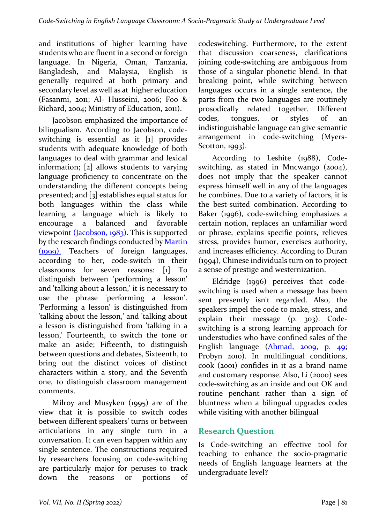and institutions of higher learning have students who are fluent in a second or foreign language. In Nigeria, Oman, Tanzania, Bangladesh, and Malaysia, English is generally required at both primary and secondary level as well as at higher education (Fasanmi, 2011; Al- Husseini, 2006; Foo & Richard, 2004; Ministry of Education, 2011).

Jacobson emphasized the importance of bilingualism. According to Jacobson, codeswitching is essential as it [1] provides students with adequate knowledge of both languages to deal with grammar and lexical information;  $\lceil 2 \rceil$  allows students to varying language proficiency to concentrate on the understanding the different concepts being presented; and  $\lceil 3 \rceil$  establishes equal status for both languages within the class while learning a language which is likely to encourage a balanced and favorable viewpoint  $(Iacobson, 1983)$ . This is supported by the research findings conducted by Martin (1999). Teachers of foreign languages, according to her, code-switch in their classrooms for seven reasons: [1] To distinguish between 'performing a lesson' and 'talking about a lesson,' it is necessary to use the phrase 'performing a lesson'. 'Performing a lesson' is distinguished from 'talking about the lesson,' and 'talking about a lesson is distinguished from 'talking in a lesson,' Fourteenth, to switch the tone or make an aside; Fifteenth, to distinguish between questions and debates, Sixteenth, to bring out the distinct voices of distinct characters within a story, and the Seventh one, to distinguish classroom management comments.

Milroy and Musyken  $(1995)$  are of the view that it is possible to switch codes between different speakers' turns or between articulations in any single turn in a conversation. It can even happen within any single sentence. The constructions required by researchers focusing on code-switching are particularly major for peruses to track down the reasons or portions of codeswitching. Furthermore, to the extent that discussion coarseness, clarifications joining code-switching are ambiguous from those of a singular phonetic blend. In that breaking point, while switching between languages occurs in a single sentence, the parts from the two languages are routinely prosodically related together. Different codes, tongues, or styles of an indistinguishable language can give semantic arrangement in code-switching (Myers-Scotton, 1993).

According to Leshite (1988), Codeswitching, as stated in Mncwango (2004), does not imply that the speaker cannot express himself well in any of the languages he combines. Due to a variety of factors, it is the best-suited combination. According to Baker (1996), code-switching emphasizes a certain notion, replaces an unfamiliar word or phrase, explains specific points, relieves stress, provides humor, exercises authority, and increases efficiency. According to Duran  $(1994)$ , Chinese individuals turn on to project a sense of prestige and westernization.

Eldridge (1996) perceives that codeswitching is used when a message has been sent presently isn't regarded. Also, the speakers impel the code to make, stress, and explain their message  $(p. 303)$ . Codeswitching is a strong learning approach for understudies who have confined sales of the English language (Ahmad, 2009, p. 49; Probyn 2010). In multilingual conditions, cook (2001) confides in it as a brand name and customary response. Also, Li (2000) sees code-switching as an inside and out OK and routine penchant rather than a sign of bluntness when a bilingual upgrades codes while visiting with another bilingual

# **Research Question**

Is Code-switching an effective tool for teaching to enhance the socio-pragmatic needs of English language learners at the undergraduate level?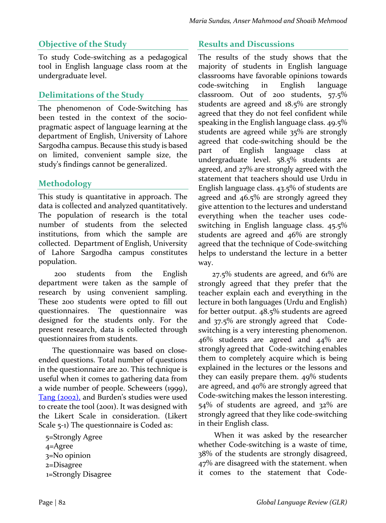## **Objective of the Study**

To study Code-switching as a pedagogical tool in English language class room at the undergraduate level.

#### **Delimitations of the Study**

The phenomenon of Code-Switching has been tested in the context of the sociopragmatic aspect of language learning at the department of English, University of Lahore Sargodha campus. Because this study is based on limited, convenient sample size, the study's findings cannot be generalized.

### **Methodology**

This study is quantitative in approach. The data is collected and analyzed quantitatively. The population of research is the total number of students from the selected institutions, from which the sample are collected. Department of English, University of Lahore Sargodha campus constitutes population.

200 students from the English department were taken as the sample of research by using convenient sampling. These 200 students were opted to fill out questionnaires. The questionnaire was designed for the students only. For the present research, data is collected through questionnaires from students.

The questionnaire was based on closeended questions. Total number of questions in the questionnaire are 20. This technique is useful when it comes to gathering data from a wide number of people. Scheweers (1999), Tang (2002), and Burden's studies were used to create the tool (2001). It was designed with the Likert Scale in consideration. (Likert Scale  $5-1$ ) The questionnaire is Coded as:

5=Strongly Agree 4=Agree 3=No opinion 2=Disagree 1=Strongly Disagree 

# **Results and Discussions**

The results of the study shows that the majority of students in English language classrooms have favorable opinions towards code-switching in English language classroom. Out of 200 students, 57.5% students are agreed and  $18.5\%$  are strongly agreed that they do not feel confident while speaking in the English language class.  $49.5\%$ students are agreed while  $35\%$  are strongly agreed that code-switching should be the part of English language class at undergraduate level. 58.5% students are agreed, and 27% are strongly agreed with the statement that teachers should use Urdu in English language class.  $43.5\%$  of students are agreed and  $46.5\%$  are strongly agreed they give attention to the lectures and understand everything when the teacher uses codeswitching in English language class.  $45.5\%$ students are agreed and  $46\%$  are strongly agreed that the technique of Code-switching helps to understand the lecture in a better way.

 $27.5\%$  students are agreed, and  $61\%$  are strongly agreed that they prefer that the teacher explain each and everything in the lecture in both languages (Urdu and English) for better output.  $48.5\%$  students are agreed and  $37.5\%$  are strongly agreed that  $Code$ switching is a very interesting phenomenon.  $46\%$  students are agreed and  $44\%$  are strongly agreed that Code-switching enables them to completely acquire which is being explained in the lectures or the lessons and they can easily prepare them.  $49\%$  students are agreed, and  $40\%$  are strongly agreed that Code-switching makes the lesson interesting.  $54\%$  of students are agreed, and  $32\%$  are strongly agreed that they like code-switching in their English class.

When it was asked by the researcher whether Code-switching is a waste of time, 38% of the students are strongly disagreed,  $47\%$  are disagreed with the statement. when it comes to the statement that Code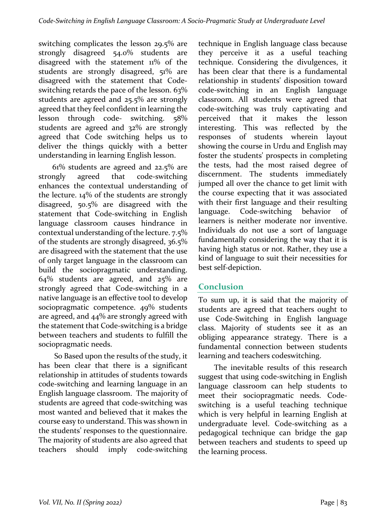switching complicates the lesson  $29.5\%$  are strongly disagreed 54.0% students are disagreed with the statement  $11\%$  of the students are strongly disagreed, 51% are disagreed with the statement that Codeswitching retards the pace of the lesson.  $63\%$ students are agreed and  $25.5\%$  are strongly agreed that they feel confident in learning the lesson through code- switching. 58% students are agreed and  $32\%$  are strongly agreed that Code switching helps us to deliver the things quickly with a better understanding in learning English lesson.

 $61\%$  students are agreed and  $22.5\%$  are strongly agreed that code-switching enhances the contextual understanding of the lecture.  $14\%$  of the students are strongly disagreed, 50.5% are disagreed with the statement that Code-switching in English language classroom causes hindrance in contextual understanding of the lecture.  $7.5\%$ of the students are strongly disagreed,  $36.5\%$ are disagreed with the statement that the use of only target language in the classroom can build the sociopragmatic understanding.  $64\%$  students are agreed, and  $25\%$  are strongly agreed that Code-switching in a native language is an effective tool to develop sociopragmatic competence. 49% students are agreed, and  $44\%$  are strongly agreed with the statement that Code-switching is a bridge between teachers and students to fulfill the sociopragmatic needs.

So Based upon the results of the study, it has been clear that there is a significant relationship in attitudes of students towards code-switching and learning language in an English language classroom. The majority of students are agreed that code-switching was most wanted and believed that it makes the course easy to understand. This was shown in the students' responses to the questionnaire. The majority of students are also agreed that teachers should imply code-switching  technique in English language class because they perceive it as a useful teaching technique. Considering the divulgences, it has been clear that there is a fundamental relationship in students' disposition toward code-switching in an English language classroom. All students were agreed that code-switching was truly captivating and perceived that it makes the lesson interesting. This was reflected by the responses of students wherein layout showing the course in Urdu and English may foster the students' prospects in completing the tests, had the most raised degree of discernment. The students immediately jumped all over the chance to get limit with the course expecting that it was associated with their first language and their resulting language. Code-switching behavior of learners is neither moderate nor inventive. Individuals do not use a sort of language fundamentally considering the way that it is having high status or not. Rather, they use a kind of language to suit their necessities for best self-depiction.

# **Conclusion**

To sum up, it is said that the majority of students are agreed that teachers ought to use Code-Switching in English language class. Majority of students see it as an obliging appearance strategy. There is a fundamental connection between students learning and teachers codeswitching.

The inevitable results of this research suggest that using code-switching in English language classroom can help students to meet their sociopragmatic needs. Codeswitching is a useful teaching technique which is very helpful in learning English at undergraduate level. Code-switching as a pedagogical technique can bridge the gap between teachers and students to speed up the learning process.